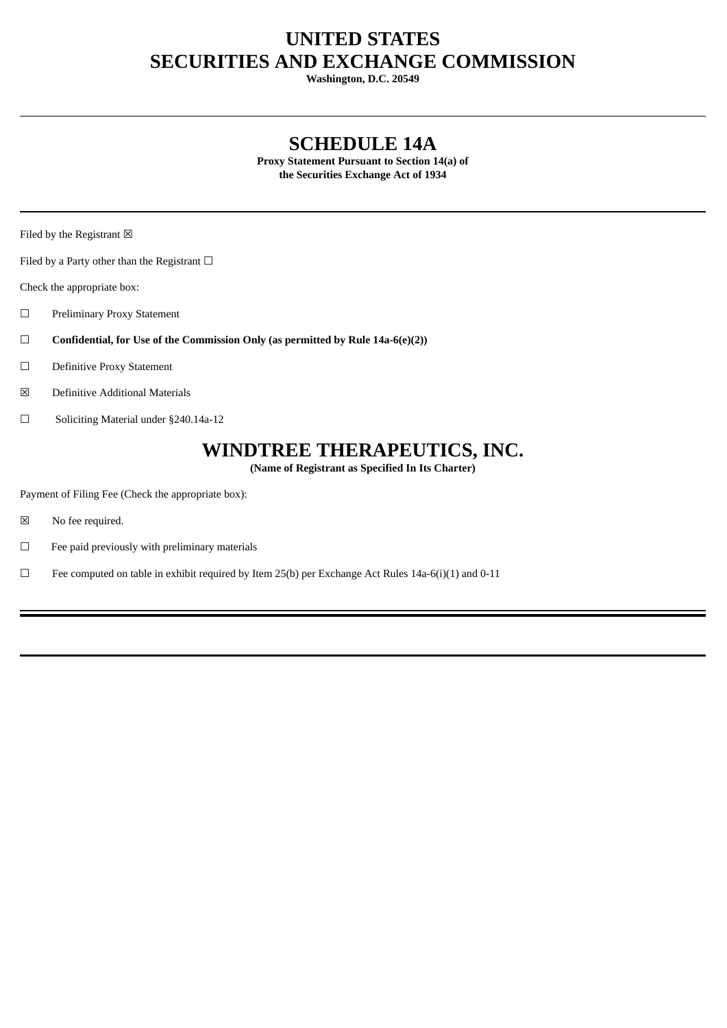# **UNITED STATES SECURITIES AND EXCHANGE COMMISSION**

**Washington, D.C. 20549**

## **SCHEDULE 14A**

**Proxy Statement Pursuant to Section 14(a) of the Securities Exchange Act of 1934**

Filed by the Registrant  $\boxtimes$ 

Filed by a Party other than the Registrant  $□$ 

Check the appropriate box:

- ☐ Preliminary Proxy Statement
- ☐ **Confidential, for Use of the Commission Only (as permitted by Rule 14a-6(e)(2))**
- ☐ Definitive Proxy Statement
- ☒ Definitive Additional Materials
- ☐ Soliciting Material under §240.14a-12

# **WINDTREE THERAPEUTICS, INC.**

**(Name of Registrant as Specified In Its Charter)**

Payment of Filing Fee (Check the appropriate box):

- ☒ No fee required.
- $□$  Fee paid previously with preliminary materials
- ☐ Fee computed on table in exhibit required by Item 25(b) per Exchange Act Rules 14a-6(i)(1) and 0-11